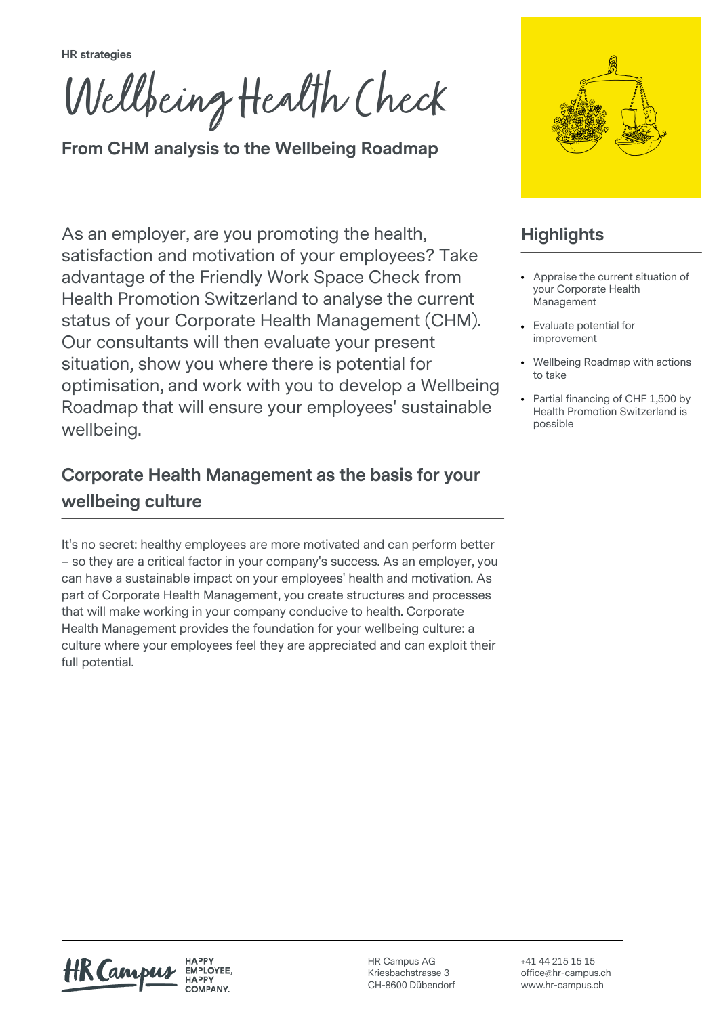**HR strategies**

Wellbeing Health Check

**From CHM analysis to the Wellbeing Roadmap**

As an employer, are you promoting the health, satisfaction and motivation of your employees? Take advantage of the Friendly Work Space Check from Health Promotion Switzerland to analyse the current status of your Corporate Health Management (CHM). Our consultants will then evaluate your present situation, show you where there is potential for optimisation, and work with you to develop a Wellbeing Roadmap that will ensure your employees' sustainable wellbeing.

## **Corporate Health Management as the basis for your wellbeing culture**

It's no secret: healthy employees are more motivated and can perform better – so they are a critical factor in your company's success. As an employer, you can have a sustainable impact on your employees' health and motivation. As part of Corporate Health Management, you create structures and processes that will make working in your company conducive to health. Corporate Health Management provides the foundation for your wellbeing culture: a culture where your employees feel they are appreciated and can exploit their full potential.



# **Highlights**

- Appraise the current situation of your Corporate Health Management
- Fyaluate potential for improvement
- Wellbeing Roadmap with actions to take
- Partial financing of CHF 1,500 by Health Promotion Switzerland is possible

HK Camp

HAPPY EMPLOYEE.

HR Campus AG Kriesbachstrasse 3 CH-8600 Dübendorf

+41 44 215 15 15 office@hr-campus.ch www.hr-campus.ch